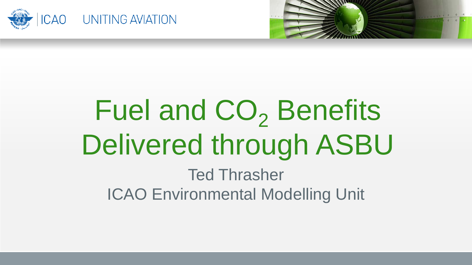



### Fuel and CO<sub>2</sub> Benefits Delivered through ASBU Ted Thrasher ICAO Environmental Modelling Unit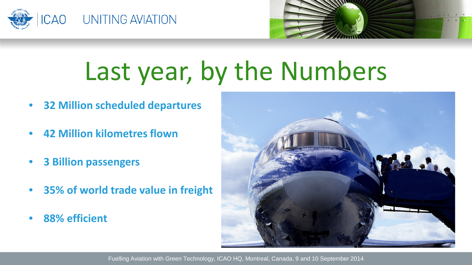



# Last year, by the Numbers

- **32 Million scheduled departures**
- **42 Million kilometres flown**
- **3 Billion passengers**
- **35% of world trade value in freight**
- **88% efficient**

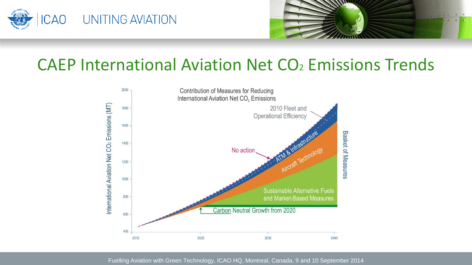



#### CAEP International Aviation Net CO<sub>2</sub> Emissions Trends

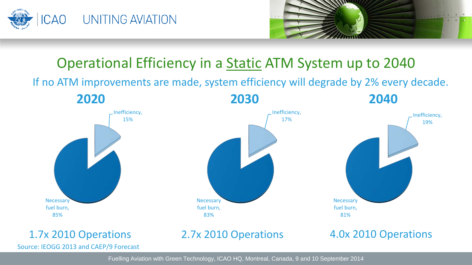



#### Operational Efficiency in a Static ATM System up to 2040

If no ATM improvements are made, system efficiency will degrade by 2% every decade.

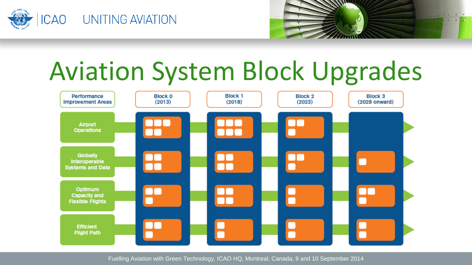



## Aviation System Block Upgrades

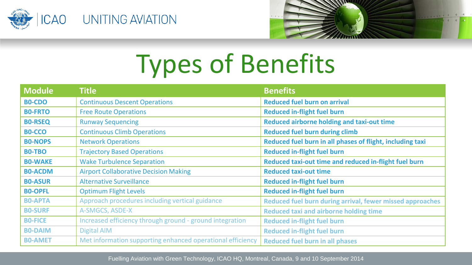



# Types of Benefits

| <b>Module</b>  | <b>Title</b>                                               | <b>Benefits</b>                                           |
|----------------|------------------------------------------------------------|-----------------------------------------------------------|
| <b>BO-CDO</b>  | <b>Continuous Descent Operations</b>                       | <b>Reduced fuel burn on arrival</b>                       |
| <b>BO-FRTO</b> | <b>Free Route Operations</b>                               | <b>Reduced in-flight fuel burn</b>                        |
| <b>BO-RSEQ</b> | <b>Runway Sequencing</b>                                   | Reduced airborne holding and taxi-out time                |
| <b>BO-CCO</b>  | <b>Continuous Climb Operations</b>                         | <b>Reduced fuel burn during climb</b>                     |
| <b>BO-NOPS</b> | <b>Network Operations</b>                                  | Reduced fuel burn in all phases of flight, including taxi |
| <b>BO-TBO</b>  | <b>Trajectory Based Operations</b>                         | <b>Reduced in-flight fuel burn</b>                        |
| <b>BO-WAKE</b> | <b>Wake Turbulence Separation</b>                          | Reduced taxi-out time and reduced in-flight fuel burn     |
| <b>BO-ACDM</b> | <b>Airport Collaborative Decision Making</b>               | <b>Reduced taxi-out time</b>                              |
| <b>BO-ASUR</b> | <b>Alternative Surveillance</b>                            | <b>Reduced in-flight fuel burn</b>                        |
| <b>BO-OPFL</b> | <b>Optimum Flight Levels</b>                               | <b>Reduced in-flight fuel burn</b>                        |
| <b>BO-APTA</b> | Approach procedures including vertical guidance            | Reduced fuel burn during arrival, fewer missed approaches |
| <b>BO-SURF</b> | A-SMGCS, ASDE-X                                            | <b>Reduced taxi and airborne holding time</b>             |
| <b>BO-FICE</b> | Increased efficiency through ground - ground integration   | <b>Reduced in-flight fuel burn</b>                        |
| <b>BO-DAIM</b> | <b>Digital AIM</b>                                         | <b>Reduced in-flight fuel burn</b>                        |
| <b>BO-AMET</b> | Met information supporting enhanced operational efficiency | <b>Reduced fuel burn in all phases</b>                    |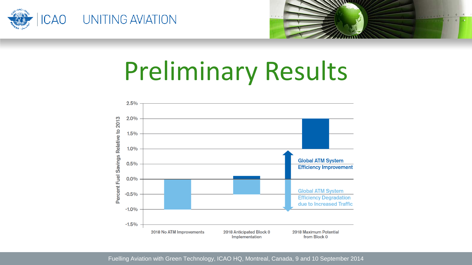



### Preliminary Results

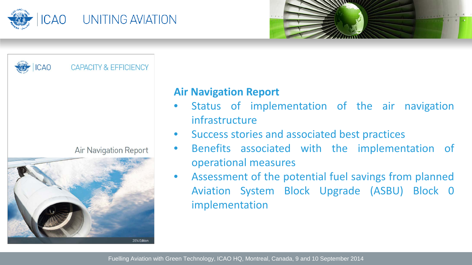



**ICAO CAPACITY & EFFICIENCY Air Navigation Report** 2014 Edition

#### **Air Navigation Report**

- Status of implementation of the air navigation infrastructure
- Success stories and associated best practices
- Benefits associated with the implementation of operational measures
- Assessment of the potential fuel savings from planned Aviation System Block Upgrade (ASBU) Block 0 implementation